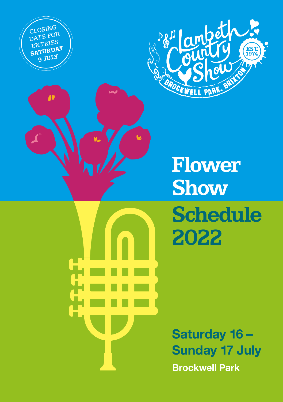CLOSING DATE FOR ENTRIES: SATURDAY **9 JULY**

 $\ddot{\bullet}$ 



**Flower Show Schedule 2022**

Saturday 16 – Sunday 17 July Brockwell Park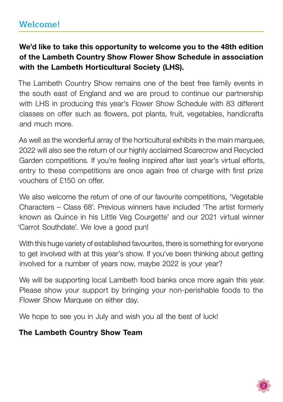## We'd like to take this opportunity to welcome you to the 48th edition of the Lambeth Country Show Flower Show Schedule in association with the Lambeth Horticultural Society (LHS).

The Lambeth Country Show remains one of the best free family events in the south east of England and we are proud to continue our partnership with LHS in producing this year's Flower Show Schedule with 83 different classes on offer such as flowers, pot plants, fruit, vegetables, handicrafts and much more.

As well as the wonderful array of the horticultural exhibits in the main marquee, 2022 will also see the return of our highly acclaimed Scarecrow and Recycled Garden competitions. If you're feeling inspired after last year's virtual efforts, entry to these competitions are once again free of charge with first prize vouchers of £150 on offer.

We also welcome the return of one of our favourite competitions, 'Vegetable Characters – Class 68'. Previous winners have included 'The artist formerly known as Quince in his Little Veg Courgette' and our 2021 virtual winner 'Carrot Southdate'. We love a good pun!

With this huge variety of established favourites, there is something for everyone to get involved with at this year's show. If you've been thinking about getting involved for a number of years now, maybe 2022 is your year?

We will be supporting local Lambeth food banks once more again this year. Please show your support by bringing your non-perishable foods to the Flower Show Marquee on either day.

We hope to see you in July and wish you all the best of luck!

### The Lambeth Country Show Team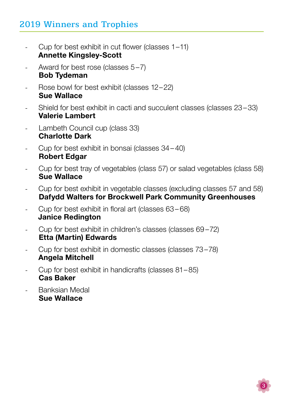## 2019 Winners and Trophies

- Cup for best exhibit in cut flower (classes  $1-11$ ) Annette Kingsley-Scott
- Award for best rose (classes 5–7) Bob Tydeman
- Rose bowl for best exhibit (classes 12–22) Sue Wallace
- Shield for best exhibit in cacti and succulent classes (classes 23–33) Valerie Lambert
- Lambeth Council cup (class 33) Charlotte Dark
- Cup for best exhibit in bonsai (classes 34–40) Robert Edgar
- Cup for best tray of vegetables (class 57) or salad vegetables (class 58) Sue Wallace
- Cup for best exhibit in vegetable classes (excluding classes 57 and 58) Dafydd Walters for Brockwell Park Community Greenhouses
- Cup for best exhibit in floral art (classes 63– 68) Janice Redington
- Cup for best exhibit in children's classes (classes 69 –72) Etta (Martin) Edwards
- Cup for best exhibit in domestic classes (classes 73–78) Angela Mitchell
- Cup for best exhibit in handicrafts (classes  $81-85$ ) Cas Baker
- Banksian Medal Sue Wallace

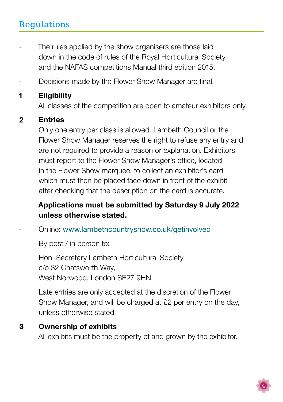- The rules applied by the show organisers are those laid down in the code of rules of the Royal Horticultural Society and the NAFAS competitions Manual third edition 2015. -
- Decisions made by the Flower Show Manager are final. -

#### **Eligibility** 1

All classes of the competition are open to amateur exhibitors only.

#### Entries 2

Only one entry per class is allowed. Lambeth Council or the Flower Show Manager reserves the right to refuse any entry and are not required to provide a reason or explanation. Exhibitors must report to the Flower Show Manager's office, located in the Flower Show marquee, to collect an exhibitor's card which must then be placed face down in front of the exhibit after checking that the description on the card is accurate.

## Applications must be submitted by Saturday 9 July 2022 unless otherwise stated.

- Online: <www.lambethcountryshow.co.uk/getinvolved> -
- By post / in person to: -

Hon. Secretary Lambeth Horticultural Society c/o 32 Chatsworth Way, West Norwood, London SE27 9HN

Late entries are only accepted at the discretion of the Flower Show Manager, and will be charged at £2 per entry on the day, unless otherwise stated.

#### Ownership of exhibits 3

All exhibits must be the property of and grown by the exhibitor.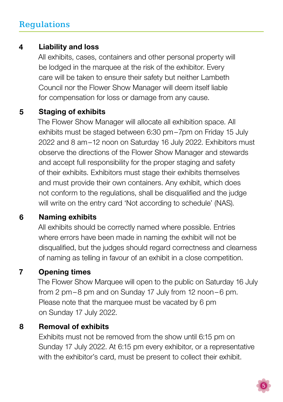#### Liability and loss 4

All exhibits, cases, containers and other personal property will be lodged in the marquee at the risk of the exhibitor. Every care will be taken to ensure their safety but neither Lambeth Council nor the Flower Show Manager will deem itself liable for compensation for loss or damage from any cause.

#### Staging of exhibits 5

The Flower Show Manager will allocate all exhibition space. All exhibits must be staged between 6:30 pm–7pm on Friday 15 July 2022 and 8 am–12 noon on Saturday 16 July 2022. Exhibitors must observe the directions of the Flower Show Manager and stewards and accept full responsibility for the proper staging and safety of their exhibits. Exhibitors must stage their exhibits themselves and must provide their own containers. Any exhibit, which does not conform to the regulations, shall be disqualified and the judge will write on the entry card 'Not according to schedule' (NAS).

#### Naming exhibits 6

All exhibits should be correctly named where possible. Entries where errors have been made in naming the exhibit will not be disqualified, but the judges should regard correctness and clearness of naming as telling in favour of an exhibit in a close competition.

#### Opening times 7

The Flower Show Marquee will open to the public on Saturday 16 July from 2 pm–8 pm and on Sunday 17 July from 12 noon– 6 pm. Please note that the marquee must be vacated by 6 pm on Sunday 17 July 2022.

#### Removal of exhibits 8

Exhibits must not be removed from the show until 6:15 pm on Sunday 17 July 2022. At 6:15 pm every exhibitor, or a representative with the exhibitor's card, must be present to collect their exhibit.

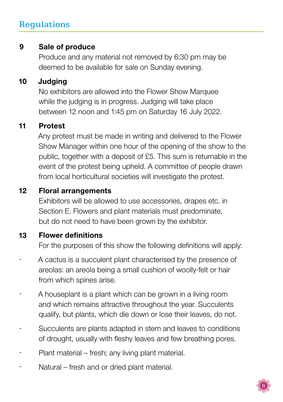#### Sale of produce 9

Produce and any material not removed by 6:30 pm may be deemed to be available for sale on Sunday evening.

#### **Judaina** 10

No exhibitors are allowed into the Flower Show Marquee while the judging is in progress. Judging will take place between 12 noon and 1:45 pm on Saturday 16 July 2022.

#### Protest 11

Any protest must be made in writing and delivered to the Flower Show Manager within one hour of the opening of the show to the public, together with a deposit of £5. This sum is returnable in the event of the protest being upheld. A committee of people drawn from local horticultural societies will investigate the protest.

#### Floral arrangements 12

Exhibitors will be allowed to use accessories, drapes etc. in Section E. Flowers and plant materials must predominate, but do not need to have been grown by the exhibitor.

#### Flower definitions 13

For the purposes of this show the following definitions will apply:

- A cactus is a succulent plant characterised by the presence of areolas: an areola being a small cushion of woolly-felt or hair from which spines arise. -
- A houseplant is a plant which can be grown in a living room and which remains attractive throughout the year. Succulents qualify, but plants, which die down or lose their leaves, do not. -
- Succulents are plants adapted in stem and leaves to conditions of drought, usually with fleshy leaves and few breathing pores. -
- Plant material fresh; any living plant material. -
- Natural fresh and or dried plant material. -

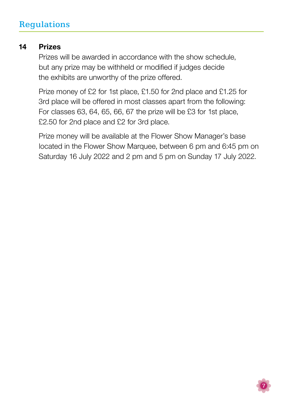#### Prizes 14

Prizes will be awarded in accordance with the show schedule, but any prize may be withheld or modified if judges decide the exhibits are unworthy of the prize offered.

Prize money of £2 for 1st place, £1.50 for 2nd place and £1.25 for 3rd place will be offered in most classes apart from the following: For classes 63, 64, 65, 66, 67 the prize will be £3 for 1st place, £2.50 for 2nd place and £2 for 3rd place.

Prize money will be available at the Flower Show Manager's base located in the Flower Show Marquee, between 6 pm and 6:45 pm on Saturday 16 July 2022 and 2 pm and 5 pm on Sunday 17 July 2022.

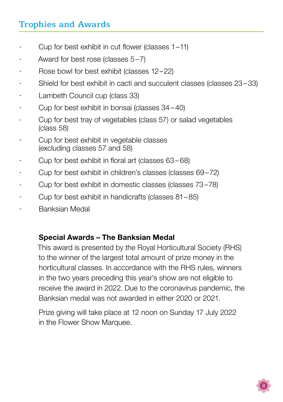## Trophies and Awards

- Cup for best exhibit in cut flower (classes 1–11) -
- Award for best rose (classes 5–7) -
- Rose bowl for best exhibit (classes 12–22) -
- Shield for best exhibit in cacti and succulent classes (classes 23–33) -
- Lambeth Council cup (class 33) -
- Cup for best exhibit in bonsai (classes 34–40) -
- Cup for best tray of vegetables (class 57) or salad vegetables (class 58) -
- Cup for best exhibit in vegetable classes (excluding classes 57 and 58) -
- Cup for best exhibit in floral art (classes 63– 68) -
- Cup for best exhibit in children's classes (classes 69 –72) -
- Cup for best exhibit in domestic classes (classes 73–78) -
- Cup for best exhibit in handicrafts (classes 81–85) -
- Banksian Medal -

### Special Awards – The Banksian Medal

This award is presented by the Royal Horticultural Society (RHS) to the winner of the largest total amount of prize money in the horticultural classes. In accordance with the RHS rules, winners in the two years preceding this year's show are not eligible to receive the award in 2022. Due to the coronavirus pandemic, the Banksian medal was not awarded in either 2020 or 2021.

Prize giving will take place at 12 noon on Sunday 17 July 2022 in the Flower Show Marquee.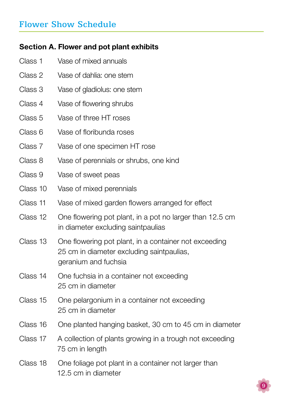### Section A. Flower and pot plant exhibits

- Class 1 Vase of mixed annuals
- Class 2 Vase of dahlia: one stem
- Class 3 Vase of gladiolus: one stem
- Class 4 Vase of flowering shrubs
- Class 5 Vase of three HT roses
- Class 6 Vase of floribunda roses
- Class 7 Vase of one specimen HT rose
- Class 8 Vase of perennials or shrubs, one kind
- Class 9 Vase of sweet peas
- Class 10 Vase of mixed perennials
- Class 11 Vase of mixed garden flowers arranged for effect
- Class 12 One flowering pot plant, in a pot no larger than 12.5 cm in diameter excluding saintpaulias
- Class 13 One flowering pot plant, in a container not exceeding 25 cm in diameter excluding saintpaulias, geranium and fuchsia
- Class 14 One fuchsia in a container not exceeding 25 cm in diameter
- Class 15 One pelargonium in a container not exceeding 25 cm in diameter
- Class 16 One planted hanging basket, 30 cm to 45 cm in diameter
- Class 17 A collection of plants growing in a trough not exceeding 75 cm in length
- Class 18 One foliage pot plant in a container not larger than 12.5 cm in diameter

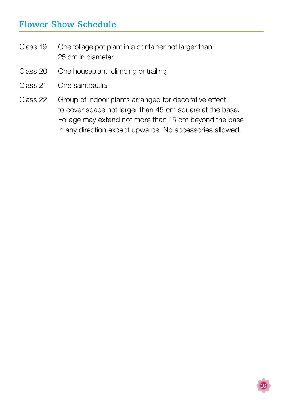- Class 19 One foliage pot plant in a container not larger than 25 cm in diameter
- Class 20 One houseplant, climbing or trailing
- Class 21 One saintpaulia
- Class 22 Group of indoor plants arranged for decorative effect, to cover space not larger than 45 cm square at the base. Foliage may extend not more than 15 cm beyond the base in any direction except upwards. No accessories allowed.

10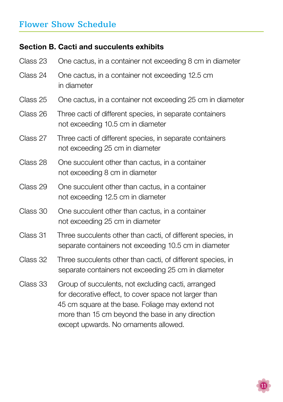### Section B. Cacti and succulents exhibits

| Class 23 | One cactus, in a container not exceeding 8 cm in diameter                                                                                                                                                                                                    |  |  |  |  |  |
|----------|--------------------------------------------------------------------------------------------------------------------------------------------------------------------------------------------------------------------------------------------------------------|--|--|--|--|--|
| Class 24 | One cactus, in a container not exceeding 12.5 cm<br>in diameter                                                                                                                                                                                              |  |  |  |  |  |
| Class 25 | One cactus, in a container not exceeding 25 cm in diameter                                                                                                                                                                                                   |  |  |  |  |  |
| Class 26 | Three cacti of different species, in separate containers<br>not exceeding 10.5 cm in diameter                                                                                                                                                                |  |  |  |  |  |
| Class 27 | Three cacti of different species, in separate containers<br>not exceeding 25 cm in diameter                                                                                                                                                                  |  |  |  |  |  |
| Class 28 | One succulent other than cactus, in a container<br>not exceeding 8 cm in diameter                                                                                                                                                                            |  |  |  |  |  |
| Class 29 | One succulent other than cactus, in a container<br>not exceeding 12.5 cm in diameter                                                                                                                                                                         |  |  |  |  |  |
| Class 30 | One succulent other than cactus, in a container<br>not exceeding 25 cm in diameter                                                                                                                                                                           |  |  |  |  |  |
| Class 31 | Three succulents other than cacti, of different species, in<br>separate containers not exceeding 10.5 cm in diameter                                                                                                                                         |  |  |  |  |  |
| Class 32 | Three succulents other than cacti, of different species, in<br>separate containers not exceeding 25 cm in diameter                                                                                                                                           |  |  |  |  |  |
| Class 33 | Group of succulents, not excluding cacti, arranged<br>for decorative effect, to cover space not larger than<br>45 cm square at the base. Foliage may extend not<br>more than 15 cm beyond the base in any direction<br>except upwards. No ornaments allowed. |  |  |  |  |  |

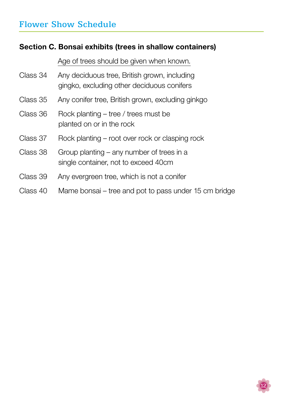### Section C. Bonsai exhibits (trees in shallow containers)

Age of trees should be given when known.

- Class 34 Any deciduous tree, British grown, including gingko, excluding other deciduous conifers
- Class 35 Any conifer tree, British grown, excluding ginkgo
- Class 36 Rock planting – tree / trees must be planted on or in the rock
- Class 37 Rock planting – root over rock or clasping rock
- Class 38 Group planting – any number of trees in a single container, not to exceed 40cm
- Class 39 Any evergreen tree, which is not a conifer
- Class 40 Mame bonsai – tree and pot to pass under 15 cm bridge

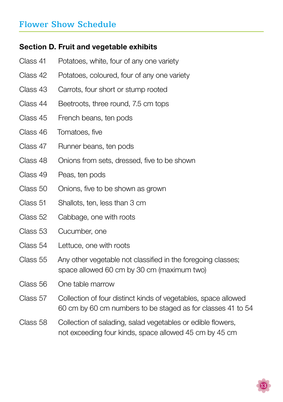### Section D. Fruit and vegetable exhibits

- Class 41 Potatoes, white, four of any one variety
- Class 42 Potatoes, coloured, four of any one variety
- Class 43 Carrots, four short or stump rooted
- Class 44 Beetroots, three round, 7.5 cm tops
- Class 45 French beans, ten pods
- Class 46 Tomatoes, five
- Class 47 Runner beans, ten pods
- Class 48 Onions from sets, dressed, five to be shown
- Class 49 Peas, ten pods
- Class 50 Onions, five to be shown as grown
- Class 51 Shallots, ten, less than 3 cm
- Class 52 Cabbage, one with roots
- Class 53 Cucumber, one
- Class 54 Lettuce, one with roots
- Class 55 Any other vegetable not classified in the foregoing classes; space allowed 60 cm by 30 cm (maximum two)
- Class 56 One table marrow
- Class 57 Collection of four distinct kinds of vegetables, space allowed 60 cm by 60 cm numbers to be staged as for classes 41 to 54
- Class 58 Collection of salading, salad vegetables or edible flowers, not exceeding four kinds, space allowed 45 cm by 45 cm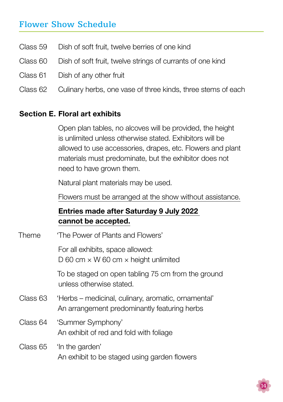- Class 59 Dish of soft fruit, twelve berries of one kind
- Class 60 Dish of soft fruit, twelve strings of currants of one kind
- Class 61 Dish of any other fruit
- Class 62 Culinary herbs, one vase of three kinds, three stems of each

#### Section E. Floral art exhibits

Open plan tables, no alcoves will be provided, the height is unlimited unless otherwise stated. Exhibitors will be allowed to use accessories, drapes, etc. Flowers and plant materials must predominate, but the exhibitor does not need to have grown them.

Natural plant materials may be used.

Flowers must be arranged at the show without assistance.

### Entries made after Saturday 9 July 2022 cannot be accepted.

| Theme    | 'The Power of Plants and Flowers'                                                                   |  |  |  |  |
|----------|-----------------------------------------------------------------------------------------------------|--|--|--|--|
|          | For all exhibits, space allowed:<br>D 60 cm $\times$ W 60 cm $\times$ height unlimited              |  |  |  |  |
|          | To be staged on open tabling 75 cm from the ground<br>unless otherwise stated.                      |  |  |  |  |
| Class 63 | 'Herbs – medicinal, culinary, aromatic, ornamental'<br>An arrangement predominantly featuring herbs |  |  |  |  |
| Class 64 | 'Summer Symphony'<br>An exhibit of red and fold with foliage                                        |  |  |  |  |
| Class 65 | 'In the garden'<br>An exhibit to be staged using garden flowers                                     |  |  |  |  |

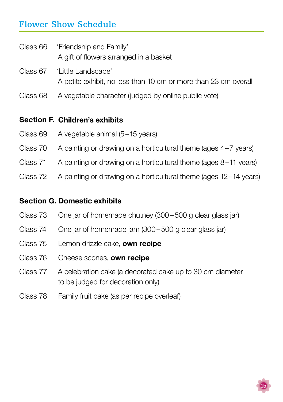Class 66 'Friendship and Family' A gift of flowers arranged in a basket

- Class 67 'Little Landscape' A petite exhibit, no less than 10 cm or more than 23 cm overall
- Class 68 A vegetable character (judged by online public vote)

### Section F. Children's exhibits

- Class 69 A vegetable animal (5–15 years)
- Class 70 A painting or drawing on a horticultural theme (ages 4–7 years)
- Class 71 A painting or drawing on a horticultural theme (ages 8–11 years)
- Class 72 A painting or drawing on a horticultural theme (ages 12–14 years)

### Section G. Domestic exhibits

- Class 73 One jar of homemade chutney (300 –500 g clear glass jar)
- Class 74 One jar of homemade jam (300 –500 g clear glass jar)
- Class 75 Lemon drizzle cake, **own recipe**
- Class 76 Cheese scones, own recipe
- Class 77 A celebration cake (a decorated cake up to 30 cm diameter to be judged for decoration only)
- Class 78 Family fruit cake (as per recipe overleaf)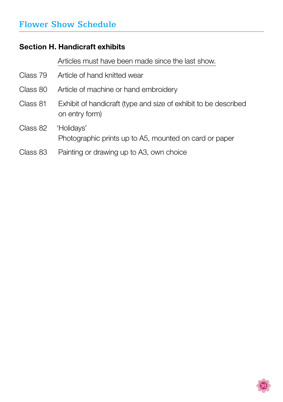### Section H. Handicraft exhibits

Articles must have been made since the last show.

|          | Class 79 Article of hand knitted wear                                             |
|----------|-----------------------------------------------------------------------------------|
| Class 80 | Article of machine or hand embroidery                                             |
| Class 81 | Exhibit of handicraft (type and size of exhibit to be described<br>on entry form) |
| Class 82 | 'Holidays'<br>Photographic prints up to A5, mounted on card or paper              |
| Class 83 | Painting or drawing up to A3, own choice                                          |

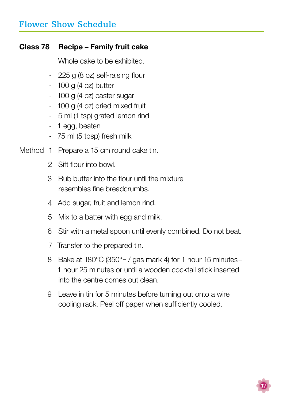### Class 78 Recipe – Family fruit cake

Whole cake to be exhibited.

- 225 g (8 oz) self-raising flour -
- 100 g (4 oz) butter -
- 100 g (4 oz) caster sugar -
- 100 g (4 oz) dried mixed fruit
- 5 ml (1 tsp) grated lemon rind
- 1 egg, beaten
- 75 ml (5 tbsp) fresh milk -
- Method 1 Prepare a 15 cm round cake tin.
	- Sift flour into bowl. 2
	- 3 Rub butter into the flour until the mixture resembles fine breadcrumbs.
	- 4 Add sugar, fruit and lemon rind.
	- Mix to a batter with egg and milk. 5
	- 6 Stir with a metal spoon until evenly combined. Do not beat.
	- 7 Transfer to the prepared tin.
	- 8 Bake at 180°C (350°F / gas mark 4) for 1 hour 15 minutes-1 hour 25 minutes or until a wooden cocktail stick inserted into the centre comes out clean.
	- Leave in tin for 5 minutes before turning out onto a wire 9cooling rack. Peel off paper when sufficiently cooled.

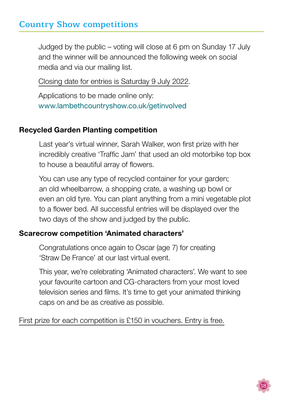## Country Show competitions

Judged by the public – voting will close at 6 pm on Sunday 17 July and the winner will be announced the following week on social media and via our mailing list.

Closing date for entries is Saturday 9 July 2022.

Applications to be made online only: <www.lambethcountryshow.co.uk/getinvolved>

### Recycled Garden Planting competition

Last year's virtual winner, Sarah Walker, won first prize with her incredibly creative 'Traffic Jam' that used an old motorbike top box to house a beautiful array of flowers.

You can use any type of recycled container for your garden; an old wheelbarrow, a shopping crate, a washing up bowl or even an old tyre. You can plant anything from a mini vegetable plot to a flower bed. All successful entries will be displayed over the two days of the show and judged by the public.

### Scarecrow competition 'Animated characters'

Congratulations once again to Oscar (age 7) for creating 'Straw De France' at our last virtual event.

This year, we're celebrating 'Animated characters'. We want to see your favourite cartoon and CG-characters from your most loved television series and films. It's time to get your animated thinking caps on and be as creative as possible.

First prize for each competition is £150 in vouchers. Entry is free.

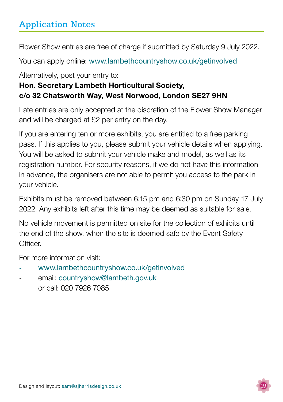# Application Notes

Flower Show entries are free of charge if submitted by Saturday 9 July 2022.

You can apply online: [www.lambethcountryshow.co.uk/getinvolved](http://www.lambethcountryshow.co.uk/getinvolved)

Alternatively, post your entry to:

## Hon. Secretary Lambeth Horticultural Society, c/o 32 Chatsworth Way, West Norwood, London SE27 9HN

Late entries are only accepted at the discretion of the Flower Show Manager and will be charged at £2 per entry on the day.

If you are entering ten or more exhibits, you are entitled to a free parking pass. If this applies to you, please submit your vehicle details when applying. You will be asked to submit your vehicle make and model, as well as its registration number. For security reasons, if we do not have this information in advance, the organisers are not able to permit you access to the park in your vehicle.

Exhibits must be removed between 6:15 pm and 6:30 pm on Sunday 17 July 2022. Any exhibits left after this time may be deemed as suitable for sale.

No vehicle movement is permitted on site for the collection of exhibits until the end of the show, when the site is deemed safe by the Event Safety Officer.

For more information visit:

- <www.lambethcountryshow.co.uk/getinvolved>
- email: [countryshow@lambeth.gov.uk](mailto:countryshow%40lambeth.gov.uk?subject=)
- or call: 020 7926 7085

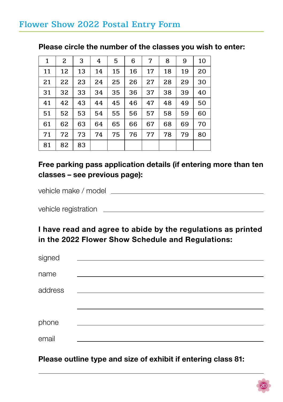## Flower Show 2022 Postal Entry Form

| 1  | 2  | 3  | 4  | 5  | 6  | 7  | 8  | 9  | 10 |
|----|----|----|----|----|----|----|----|----|----|
| 11 | 12 | 13 | 14 | 15 | 16 | 17 | 18 | 19 | 20 |
| 21 | 22 | 23 | 24 | 25 | 26 | 27 | 28 | 29 | 30 |
| 31 | 32 | 33 | 34 | 35 | 36 | 37 | 38 | 39 | 40 |
| 41 | 42 | 43 | 44 | 45 | 46 | 47 | 48 | 49 | 50 |
| 51 | 52 | 53 | 54 | 55 | 56 | 57 | 58 | 59 | 60 |
| 61 | 62 | 63 | 64 | 65 | 66 | 67 | 68 | 69 | 70 |
| 71 | 72 | 73 | 74 | 75 | 76 | 77 | 78 | 79 | 80 |
| 81 | 82 | 83 |    |    |    |    |    |    |    |

### Please circle the number of the classes you wish to enter:

### Free parking pass application details (if entering more than ten classes – see previous page):

vehicle make / model

vehicle registration <u>example and the set of the set of the set of the set of the set of the set of the set of the set of the set of the set of the set of the set of the set of the set of the set of the set of the set of t</u>

I have read and agree to abide by the regulations as printed in the 2022 Flower Show Schedule and Regulations:

| signed  |  |
|---------|--|
| name    |  |
| address |  |
|         |  |
| phone   |  |
| email   |  |

Please outline type and size of exhibit if entering class 81: